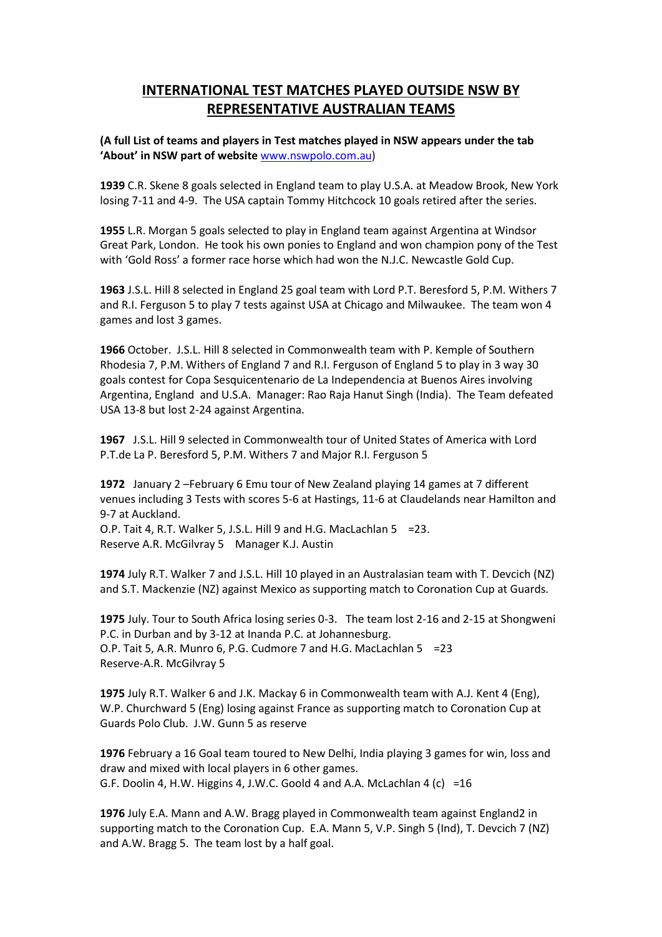## **INTERNATIONAL TEST MATCHES PLAYED OUTSIDE NSW BY REPRESENTATIVE AUSTRALIAN TEAMS**

**(A full List of teams and players in Test matches played in NSW appears under the tab 'About' in NSW part of website** [www.nswpolo.com.au\)](http://www.nswpolo.com.au/)

**1939** C.R. Skene 8 goals selected in England team to play U.S.A. at Meadow Brook, New York losing 7-11 and 4-9. The USA captain Tommy Hitchcock 10 goals retired after the series.

**1955** L.R. Morgan 5 goals selected to play in England team against Argentina at Windsor Great Park, London. He took his own ponies to England and won champion pony of the Test with 'Gold Ross' a former race horse which had won the N.J.C. Newcastle Gold Cup.

**1963** J.S.L. Hill 8 selected in England 25 goal team with Lord P.T. Beresford 5, P.M. Withers 7 and R.I. Ferguson 5 to play 7 tests against USA at Chicago and Milwaukee. The team won 4 games and lost 3 games.

**1966** October. J.S.L. Hill 8 selected in Commonwealth team with P. Kemple of Southern Rhodesia 7, P.M. Withers of England 7 and R.I. Ferguson of England 5 to play in 3 way 30 goals contest for Copa Sesquicentenario de La Independencia at Buenos Aires involving Argentina, England and U.S.A. Manager: Rao Raja Hanut Singh (India). The Team defeated USA 13-8 but lost 2-24 against Argentina.

**1967** J.S.L. Hill 9 selected in Commonwealth tour of United States of America with Lord P.T.de La P. Beresford 5, P.M. Withers 7 and Major R.I. Ferguson 5

**1972** January 2 –February 6 Emu tour of New Zealand playing 14 games at 7 different venues including 3 Tests with scores 5-6 at Hastings, 11-6 at Claudelands near Hamilton and 9-7 at Auckland.

O.P. Tait 4, R.T. Walker 5, J.S.L. Hill 9 and H.G. MacLachlan 5 =23. Reserve A.R. McGilvray 5 Manager K.J. Austin

**1974** July R.T. Walker 7 and J.S.L. Hill 10 played in an Australasian team with T. Devcich (NZ) and S.T. Mackenzie (NZ) against Mexico as supporting match to Coronation Cup at Guards.

**1975** July. Tour to South Africa losing series 0-3. The team lost 2-16 and 2-15 at Shongweni P.C. in Durban and by 3-12 at Inanda P.C. at Johannesburg. O.P. Tait 5, A.R. Munro 6, P.G. Cudmore 7 and H.G. MacLachlan 5 =23 Reserve-A.R. McGilvray 5

**1975** July R.T. Walker 6 and J.K. Mackay 6 in Commonwealth team with A.J. Kent 4 (Eng), W.P. Churchward 5 (Eng) losing against France as supporting match to Coronation Cup at Guards Polo Club. J.W. Gunn 5 as reserve

**1976** February a 16 Goal team toured to New Delhi, India playing 3 games for win, loss and draw and mixed with local players in 6 other games. G.F. Doolin 4, H.W. Higgins 4, J.W.C. Goold 4 and A.A. McLachlan 4 (c) =16

**1976** July E.A. Mann and A.W. Bragg played in Commonwealth team against England2 in supporting match to the Coronation Cup. E.A. Mann 5, V.P. Singh 5 (Ind), T. Devcich 7 (NZ) and A.W. Bragg 5. The team lost by a half goal.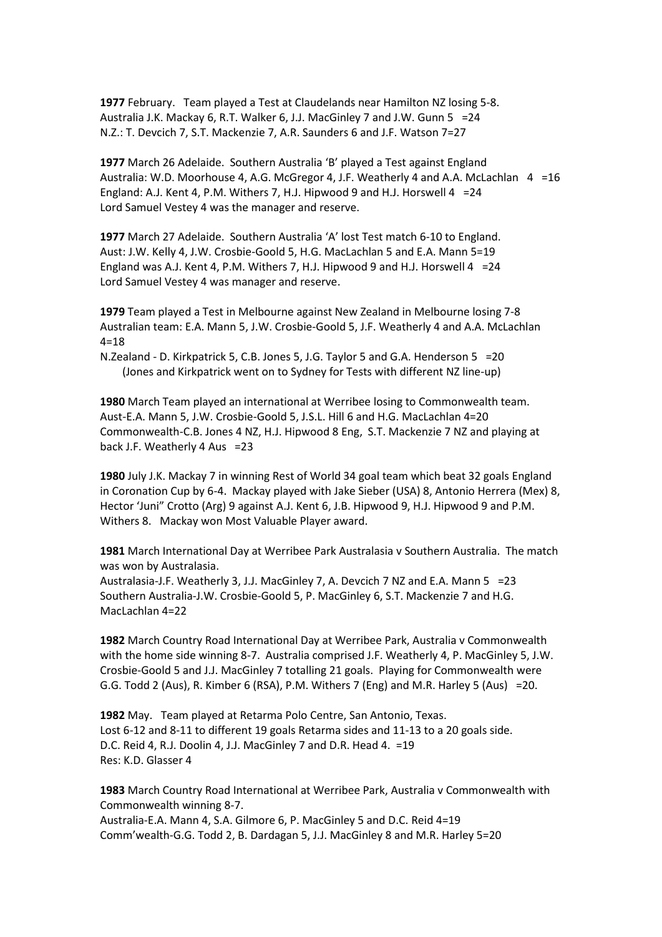**1977** February. Team played a Test at Claudelands near Hamilton NZ losing 5-8. Australia J.K. Mackay 6, R.T. Walker 6, J.J. MacGinley 7 and J.W. Gunn 5 =24 N.Z.: T. Devcich 7, S.T. Mackenzie 7, A.R. Saunders 6 and J.F. Watson 7=27

**1977** March 26 Adelaide. Southern Australia 'B' played a Test against England Australia: W.D. Moorhouse 4, A.G. McGregor 4, J.F. Weatherly 4 and A.A. McLachlan 4 = 16 England: A.J. Kent 4, P.M. Withers 7, H.J. Hipwood 9 and H.J. Horswell  $4 = 24$ Lord Samuel Vestey 4 was the manager and reserve.

**1977** March 27 Adelaide. Southern Australia 'A' lost Test match 6-10 to England. Aust: J.W. Kelly 4, J.W. Crosbie-Goold 5, H.G. MacLachlan 5 and E.A. Mann 5=19 England was A.J. Kent 4, P.M. Withers 7, H.J. Hipwood 9 and H.J. Horswell 4 =24 Lord Samuel Vestey 4 was manager and reserve.

**1979** Team played a Test in Melbourne against New Zealand in Melbourne losing 7-8 Australian team: E.A. Mann 5, J.W. Crosbie-Goold 5, J.F. Weatherly 4 and A.A. McLachlan  $4 = 18$ 

N.Zealand - D. Kirkpatrick 5, C.B. Jones 5, J.G. Taylor 5 and G.A. Henderson 5 =20 (Jones and Kirkpatrick went on to Sydney for Tests with different NZ line-up)

**1980** March Team played an international at Werribee losing to Commonwealth team. Aust-E.A. Mann 5, J.W. Crosbie-Goold 5, J.S.L. Hill 6 and H.G. MacLachlan 4=20 Commonwealth-C.B. Jones 4 NZ, H.J. Hipwood 8 Eng, S.T. Mackenzie 7 NZ and playing at back J.F. Weatherly 4 Aus =23

**1980** July J.K. Mackay 7 in winning Rest of World 34 goal team which beat 32 goals England in Coronation Cup by 6-4. Mackay played with Jake Sieber (USA) 8, Antonio Herrera (Mex) 8, Hector 'Juni" Crotto (Arg) 9 against A.J. Kent 6, J.B. Hipwood 9, H.J. Hipwood 9 and P.M. Withers 8. Mackay won Most Valuable Player award.

**1981** March International Day at Werribee Park Australasia v Southern Australia. The match was won by Australasia.

Australasia-J.F. Weatherly 3, J.J. MacGinley 7, A. Devcich 7 NZ and E.A. Mann 5 =23 Southern Australia-J.W. Crosbie-Goold 5, P. MacGinley 6, S.T. Mackenzie 7 and H.G. MacLachlan 4=22

**1982** March Country Road International Day at Werribee Park, Australia v Commonwealth with the home side winning 8-7. Australia comprised J.F. Weatherly 4, P. MacGinley 5, J.W. Crosbie-Goold 5 and J.J. MacGinley 7 totalling 21 goals. Playing for Commonwealth were G.G. Todd 2 (Aus), R. Kimber 6 (RSA), P.M. Withers 7 (Eng) and M.R. Harley 5 (Aus) =20.

**1982** May. Team played at Retarma Polo Centre, San Antonio, Texas. Lost 6-12 and 8-11 to different 19 goals Retarma sides and 11-13 to a 20 goals side. D.C. Reid 4, R.J. Doolin 4, J.J. MacGinley 7 and D.R. Head 4. =19 Res: K.D. Glasser 4

**1983** March Country Road International at Werribee Park, Australia v Commonwealth with Commonwealth winning 8-7.

Australia-E.A. Mann 4, S.A. Gilmore 6, P. MacGinley 5 and D.C. Reid 4=19 Comm'wealth-G.G. Todd 2, B. Dardagan 5, J.J. MacGinley 8 and M.R. Harley 5=20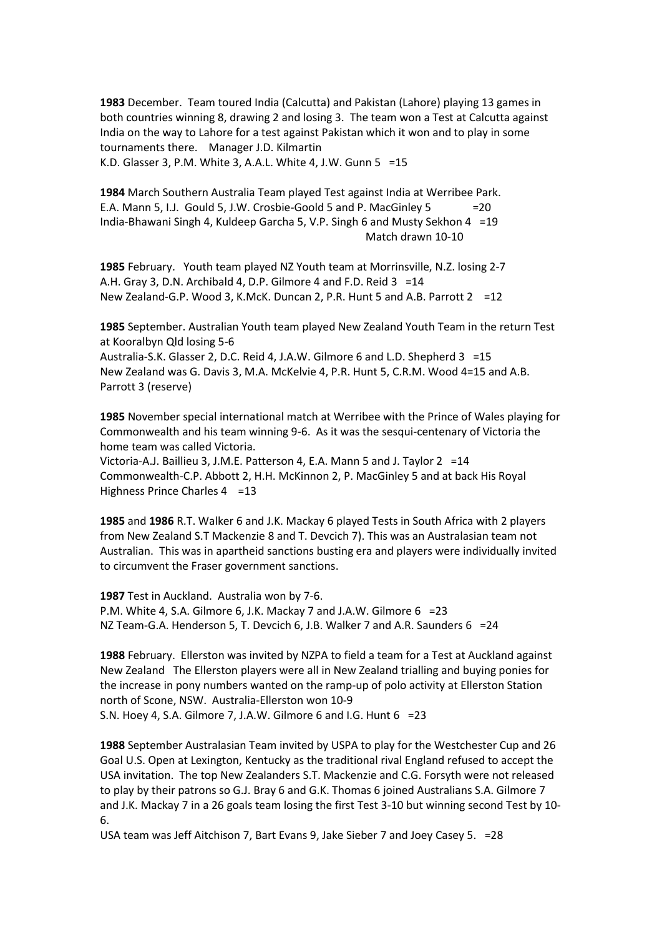**1983** December. Team toured India (Calcutta) and Pakistan (Lahore) playing 13 games in both countries winning 8, drawing 2 and losing 3. The team won a Test at Calcutta against India on the way to Lahore for a test against Pakistan which it won and to play in some tournaments there. Manager J.D. Kilmartin K.D. Glasser 3, P.M. White 3, A.A.L. White 4, J.W. Gunn 5 =15

**1984** March Southern Australia Team played Test against India at Werribee Park. E.A. Mann 5, I.J. Gould 5, J.W. Crosbie-Goold 5 and P. MacGinley 5 =20 India-Bhawani Singh 4, Kuldeep Garcha 5, V.P. Singh 6 and Musty Sekhon 4 =19 Match drawn 10-10

**1985** February. Youth team played NZ Youth team at Morrinsville, N.Z. losing 2-7 A.H. Gray 3, D.N. Archibald 4, D.P. Gilmore 4 and F.D. Reid 3 = 14 New Zealand-G.P. Wood 3, K.McK. Duncan 2, P.R. Hunt 5 and A.B. Parrott 2 =12

**1985** September. Australian Youth team played New Zealand Youth Team in the return Test at Kooralbyn Qld losing 5-6

Australia-S.K. Glasser 2, D.C. Reid 4, J.A.W. Gilmore 6 and L.D. Shepherd 3 =15 New Zealand was G. Davis 3, M.A. McKelvie 4, P.R. Hunt 5, C.R.M. Wood 4=15 and A.B. Parrott 3 (reserve)

**1985** November special international match at Werribee with the Prince of Wales playing for Commonwealth and his team winning 9-6. As it was the sesqui-centenary of Victoria the home team was called Victoria.

Victoria-A.J. Baillieu 3, J.M.E. Patterson 4, E.A. Mann 5 and J. Taylor 2 =14 Commonwealth-C.P. Abbott 2, H.H. McKinnon 2, P. MacGinley 5 and at back His Royal Highness Prince Charles 4 = 13

**1985** and **1986** R.T. Walker 6 and J.K. Mackay 6 played Tests in South Africa with 2 players from New Zealand S.T Mackenzie 8 and T. Devcich 7). This was an Australasian team not Australian. This was in apartheid sanctions busting era and players were individually invited to circumvent the Fraser government sanctions.

**1987** Test in Auckland. Australia won by 7-6. P.M. White 4, S.A. Gilmore 6, J.K. Mackay 7 and J.A.W. Gilmore 6 =23 NZ Team-G.A. Henderson 5, T. Devcich 6, J.B. Walker 7 and A.R. Saunders 6 =24

**1988** February. Ellerston was invited by NZPA to field a team for a Test at Auckland against New Zealand The Ellerston players were all in New Zealand trialling and buying ponies for the increase in pony numbers wanted on the ramp-up of polo activity at Ellerston Station north of Scone, NSW. Australia-Ellerston won 10-9

S.N. Hoey 4, S.A. Gilmore 7, J.A.W. Gilmore 6 and I.G. Hunt 6 =23

**1988** September Australasian Team invited by USPA to play for the Westchester Cup and 26 Goal U.S. Open at Lexington, Kentucky as the traditional rival England refused to accept the USA invitation. The top New Zealanders S.T. Mackenzie and C.G. Forsyth were not released to play by their patrons so G.J. Bray 6 and G.K. Thomas 6 joined Australians S.A. Gilmore 7 and J.K. Mackay 7 in a 26 goals team losing the first Test 3-10 but winning second Test by 10- 6.

USA team was Jeff Aitchison 7, Bart Evans 9, Jake Sieber 7 and Joey Casey 5. =28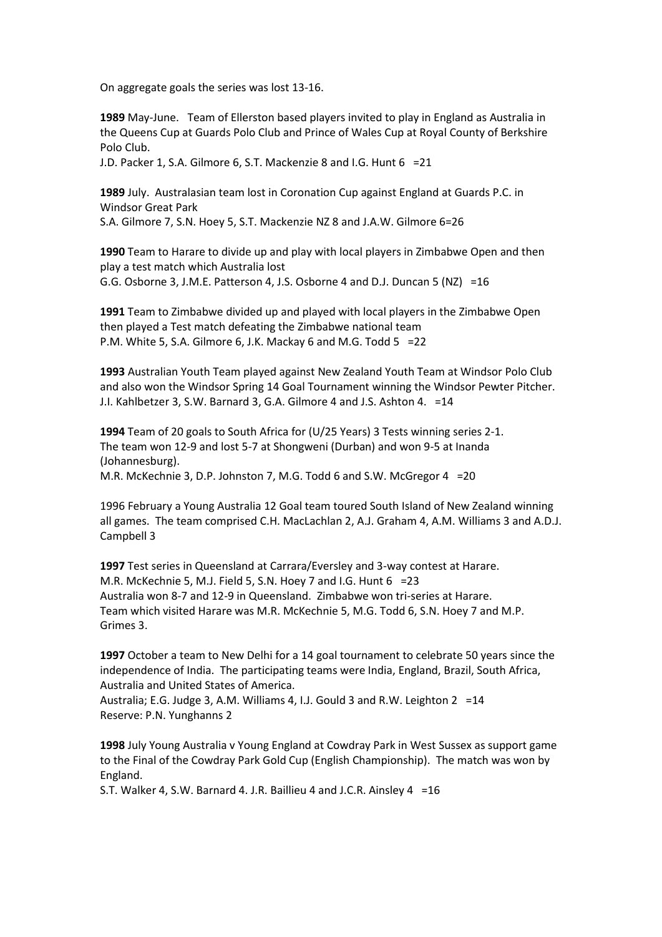On aggregate goals the series was lost 13-16.

**1989** May-June. Team of Ellerston based players invited to play in England as Australia in the Queens Cup at Guards Polo Club and Prince of Wales Cup at Royal County of Berkshire Polo Club.

J.D. Packer 1, S.A. Gilmore 6, S.T. Mackenzie 8 and I.G. Hunt 6 =21

**1989** July. Australasian team lost in Coronation Cup against England at Guards P.C. in Windsor Great Park

S.A. Gilmore 7, S.N. Hoey 5, S.T. Mackenzie NZ 8 and J.A.W. Gilmore 6=26

**1990** Team to Harare to divide up and play with local players in Zimbabwe Open and then play a test match which Australia lost G.G. Osborne 3, J.M.E. Patterson 4, J.S. Osborne 4 and D.J. Duncan 5 (NZ) =16

**1991** Team to Zimbabwe divided up and played with local players in the Zimbabwe Open then played a Test match defeating the Zimbabwe national team P.M. White 5, S.A. Gilmore 6, J.K. Mackay 6 and M.G. Todd 5 =22

**1993** Australian Youth Team played against New Zealand Youth Team at Windsor Polo Club and also won the Windsor Spring 14 Goal Tournament winning the Windsor Pewter Pitcher. J.I. Kahlbetzer 3, S.W. Barnard 3, G.A. Gilmore 4 and J.S. Ashton 4. =14

**1994** Team of 20 goals to South Africa for (U/25 Years) 3 Tests winning series 2-1. The team won 12-9 and lost 5-7 at Shongweni (Durban) and won 9-5 at Inanda (Johannesburg). M.R. McKechnie 3, D.P. Johnston 7, M.G. Todd 6 and S.W. McGregor 4 =20

1996 February a Young Australia 12 Goal team toured South Island of New Zealand winning all games. The team comprised C.H. MacLachlan 2, A.J. Graham 4, A.M. Williams 3 and A.D.J. Campbell 3

**1997** Test series in Queensland at Carrara/Eversley and 3-way contest at Harare. M.R. McKechnie 5, M.J. Field 5, S.N. Hoey 7 and I.G. Hunt 6 =23 Australia won 8-7 and 12-9 in Queensland. Zimbabwe won tri-series at Harare. Team which visited Harare was M.R. McKechnie 5, M.G. Todd 6, S.N. Hoey 7 and M.P. Grimes 3.

**1997** October a team to New Delhi for a 14 goal tournament to celebrate 50 years since the independence of India. The participating teams were India, England, Brazil, South Africa, Australia and United States of America.

Australia; E.G. Judge 3, A.M. Williams 4, I.J. Gould 3 and R.W. Leighton 2 =14 Reserve: P.N. Yunghanns 2

**1998** July Young Australia v Young England at Cowdray Park in West Sussex as support game to the Final of the Cowdray Park Gold Cup (English Championship). The match was won by England.

S.T. Walker 4, S.W. Barnard 4. J.R. Baillieu 4 and J.C.R. Ainsley 4 =16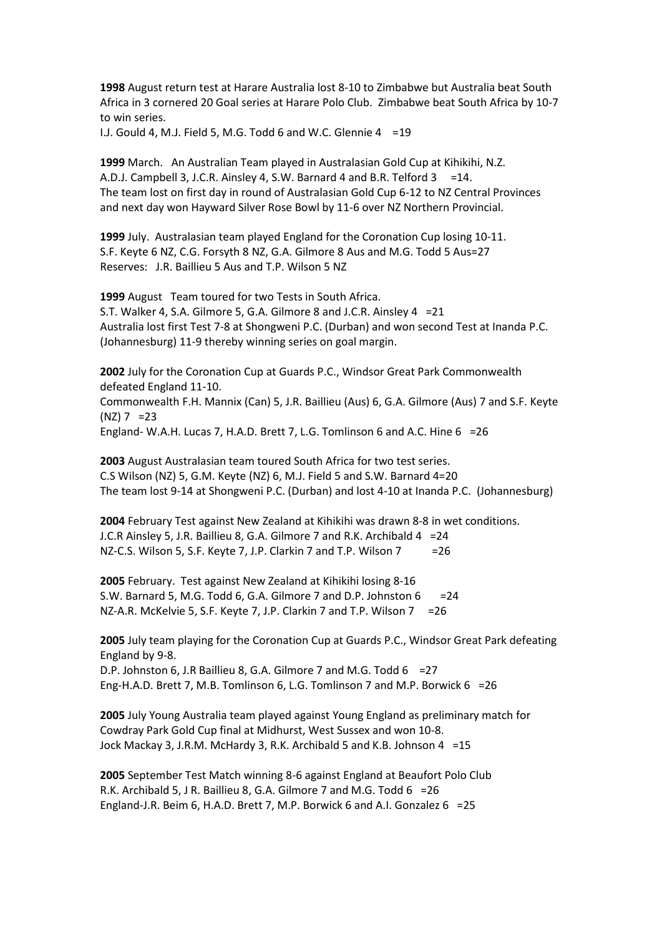**1998** August return test at Harare Australia lost 8-10 to Zimbabwe but Australia beat South Africa in 3 cornered 20 Goal series at Harare Polo Club. Zimbabwe beat South Africa by 10-7 to win series.

I.J. Gould 4, M.J. Field 5, M.G. Todd 6 and W.C. Glennie 4 =19

**1999** March. An Australian Team played in Australasian Gold Cup at Kihikihi, N.Z. A.D.J. Campbell 3, J.C.R. Ainsley 4, S.W. Barnard 4 and B.R. Telford 3 = 14. The team lost on first day in round of Australasian Gold Cup 6-12 to NZ Central Provinces and next day won Hayward Silver Rose Bowl by 11-6 over NZ Northern Provincial.

**1999** July. Australasian team played England for the Coronation Cup losing 10-11. S.F. Keyte 6 NZ, C.G. Forsyth 8 NZ, G.A. Gilmore 8 Aus and M.G. Todd 5 Aus=27 Reserves: J.R. Baillieu 5 Aus and T.P. Wilson 5 NZ

**1999** August Team toured for two Tests in South Africa. S.T. Walker 4, S.A. Gilmore 5, G.A. Gilmore 8 and J.C.R. Ainsley 4 =21 Australia lost first Test 7-8 at Shongweni P.C. (Durban) and won second Test at Inanda P.C. (Johannesburg) 11-9 thereby winning series on goal margin.

**2002** July for the Coronation Cup at Guards P.C., Windsor Great Park Commonwealth defeated England 11-10. Commonwealth F.H. Mannix (Can) 5, J.R. Baillieu (Aus) 6, G.A. Gilmore (Aus) 7 and S.F. Keyte  $(NZ)$  7 = 23 England- W.A.H. Lucas 7, H.A.D. Brett 7, L.G. Tomlinson 6 and A.C. Hine 6 =26

**2003** August Australasian team toured South Africa for two test series. C.S Wilson (NZ) 5, G.M. Keyte (NZ) 6, M.J. Field 5 and S.W. Barnard 4=20 The team lost 9-14 at Shongweni P.C. (Durban) and lost 4-10 at Inanda P.C. (Johannesburg)

**2004** February Test against New Zealand at Kihikihi was drawn 8-8 in wet conditions. J.C.R Ainsley 5, J.R. Baillieu 8, G.A. Gilmore 7 and R.K. Archibald 4 =24 NZ-C.S. Wilson 5, S.F. Keyte 7, J.P. Clarkin 7 and T.P. Wilson 7 = 26

**2005** February. Test against New Zealand at Kihikihi losing 8-16 S.W. Barnard 5, M.G. Todd 6, G.A. Gilmore 7 and D.P. Johnston  $6 = 24$ NZ-A.R. McKelvie 5, S.F. Keyte 7, J.P. Clarkin 7 and T.P. Wilson 7 = 26

**2005** July team playing for the Coronation Cup at Guards P.C., Windsor Great Park defeating England by 9-8.

D.P. Johnston 6, J.R Baillieu 8, G.A. Gilmore 7 and M.G. Todd 6 = 27 Eng-H.A.D. Brett 7, M.B. Tomlinson 6, L.G. Tomlinson 7 and M.P. Borwick 6 =26

**2005** July Young Australia team played against Young England as preliminary match for Cowdray Park Gold Cup final at Midhurst, West Sussex and won 10-8. Jock Mackay 3, J.R.M. McHardy 3, R.K. Archibald 5 and K.B. Johnson 4 =15

**2005** September Test Match winning 8-6 against England at Beaufort Polo Club R.K. Archibald 5, J R. Baillieu 8, G.A. Gilmore 7 and M.G. Todd 6 =26 England-J.R. Beim 6, H.A.D. Brett 7, M.P. Borwick 6 and A.I. Gonzalez 6 =25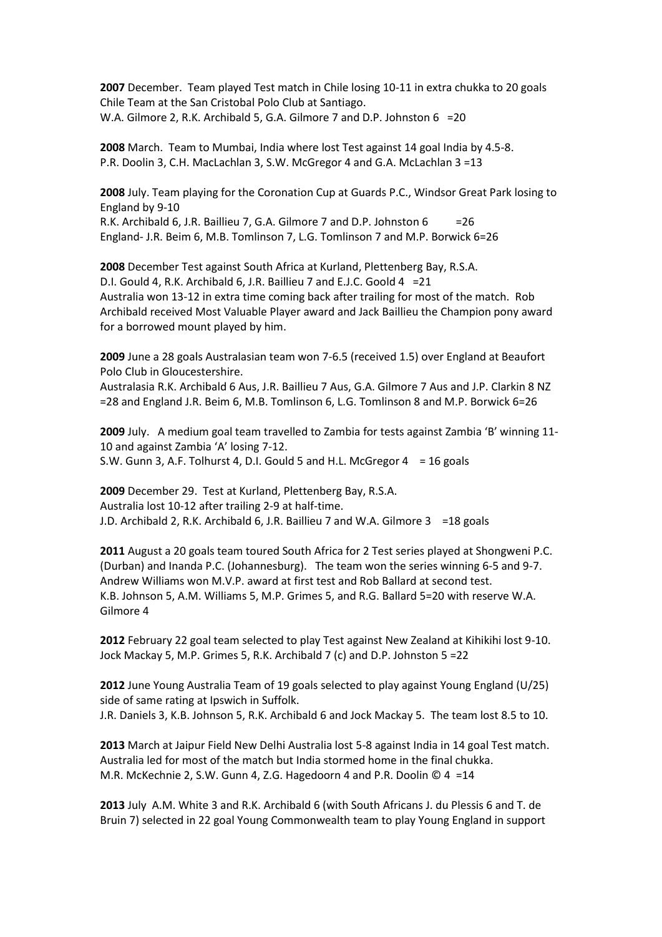**2007** December. Team played Test match in Chile losing 10-11 in extra chukka to 20 goals Chile Team at the San Cristobal Polo Club at Santiago. W.A. Gilmore 2, R.K. Archibald 5, G.A. Gilmore 7 and D.P. Johnston 6 =20

**2008** March. Team to Mumbai, India where lost Test against 14 goal India by 4.5-8. P.R. Doolin 3, C.H. MacLachlan 3, S.W. McGregor 4 and G.A. McLachlan 3 =13

**2008** July. Team playing for the Coronation Cup at Guards P.C., Windsor Great Park losing to England by 9-10 R.K. Archibald 6, J.R. Baillieu 7, G.A. Gilmore 7 and D.P. Johnston 6 = 26

England- J.R. Beim 6, M.B. Tomlinson 7, L.G. Tomlinson 7 and M.P. Borwick 6=26

**2008** December Test against South Africa at Kurland, Plettenberg Bay, R.S.A. D.I. Gould 4, R.K. Archibald 6, J.R. Baillieu 7 and E.J.C. Goold 4 =21 Australia won 13-12 in extra time coming back after trailing for most of the match. Rob Archibald received Most Valuable Player award and Jack Baillieu the Champion pony award for a borrowed mount played by him.

**2009** June a 28 goals Australasian team won 7-6.5 (received 1.5) over England at Beaufort Polo Club in Gloucestershire.

Australasia R.K. Archibald 6 Aus, J.R. Baillieu 7 Aus, G.A. Gilmore 7 Aus and J.P. Clarkin 8 NZ =28 and England J.R. Beim 6, M.B. Tomlinson 6, L.G. Tomlinson 8 and M.P. Borwick 6=26

**2009** July. A medium goal team travelled to Zambia for tests against Zambia 'B' winning 11- 10 and against Zambia 'A' losing 7-12. S.W. Gunn 3, A.F. Tolhurst 4, D.I. Gould 5 and H.L. McGregor 4 = 16 goals

**2009** December 29. Test at Kurland, Plettenberg Bay, R.S.A. Australia lost 10-12 after trailing 2-9 at half-time. J.D. Archibald 2, R.K. Archibald 6, J.R. Baillieu 7 and W.A. Gilmore 3 =18 goals

**2011** August a 20 goals team toured South Africa for 2 Test series played at Shongweni P.C. (Durban) and Inanda P.C. (Johannesburg). The team won the series winning 6-5 and 9-7. Andrew Williams won M.V.P. award at first test and Rob Ballard at second test. K.B. Johnson 5, A.M. Williams 5, M.P. Grimes 5, and R.G. Ballard 5=20 with reserve W.A. Gilmore 4

**2012** February 22 goal team selected to play Test against New Zealand at Kihikihi lost 9-10. Jock Mackay 5, M.P. Grimes 5, R.K. Archibald 7 (c) and D.P. Johnston 5 =22

**2012** June Young Australia Team of 19 goals selected to play against Young England (U/25) side of same rating at Ipswich in Suffolk. J.R. Daniels 3, K.B. Johnson 5, R.K. Archibald 6 and Jock Mackay 5. The team lost 8.5 to 10.

**2013** March at Jaipur Field New Delhi Australia lost 5-8 against India in 14 goal Test match. Australia led for most of the match but India stormed home in the final chukka. M.R. McKechnie 2, S.W. Gunn 4, Z.G. Hagedoorn 4 and P.R. Doolin © 4 =14

**2013** July A.M. White 3 and R.K. Archibald 6 (with South Africans J. du Plessis 6 and T. de Bruin 7) selected in 22 goal Young Commonwealth team to play Young England in support